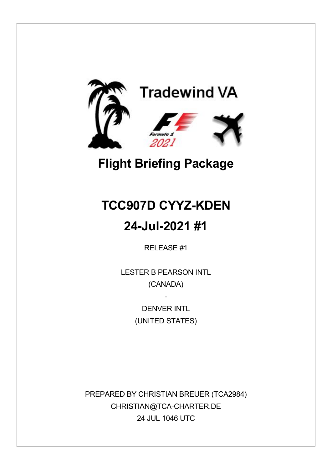

# **Flight Briefing Package**

# **TCC907D CYYZ-KDEN**

## **24-Jul-2021 #1**

RELEASE #1

LESTER B PEARSON INTL (CANADA)

> DENVER INTI (UNITED STATES)

-

PREPARED BY CHRISTIAN BREUER (TCA2984) CHRISTIAN@TCA-CHARTER.DE 24 JUL 1046 UTC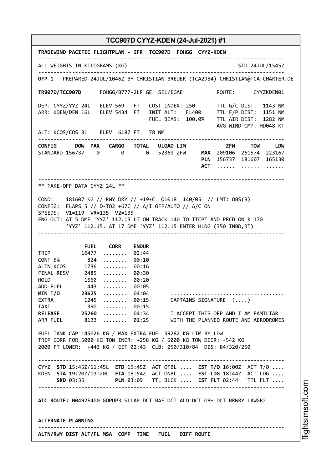| TRADEWIND PACIFIC FLIGHTPLAN - IFR TCC907D FOHGG CYYZ-KDEN                                                                                                                                                                                                                                                |
|-----------------------------------------------------------------------------------------------------------------------------------------------------------------------------------------------------------------------------------------------------------------------------------------------------------|
| ALL WEIGHTS IN KILOGRAMS (KG)<br>STD 24JUL/1545Z                                                                                                                                                                                                                                                          |
| OFP 1 - PREPARED 24JUL/1046Z BY CHRISTIAN BREUER (TCA2984) CHRISTIAN@TCA-CHARTER.DE                                                                                                                                                                                                                       |
| TR907D/TCC907D FOHGG/B777-2LR GE SEL/EGAE NOUTE: CYYZKDEN01                                                                                                                                                                                                                                               |
| DEP: CYYZ/YYZ 24L ELEV 569 FT COST INDEX: 250 TTL G/C DIST: 1143 NM<br>ARR: KDEN/DEN 16L ELEV 5434 FT INIT ALT: FL400 TTL F/P DIST: 1151 NM<br>FUEL BIAS: 100.0% TTL AIR DIST: 1282 NM<br>AVG WIND CMP: HD048 KT<br>ALT: KCOS/COS 31 ELEV 6187 FT 78 NM                                                   |
|                                                                                                                                                                                                                                                                                                           |
| CONFIG DOW PAX CARGO TOTAL ULOAD LIM ZFW TOW LDW<br>STANDARD 156737 0 0 0 52369 ZFW MAX 209106 261574 223167<br>PLN 156737 181607 165130<br><b>ACT</b><br>$\cdots \cdots$                                                                                                                                 |
| ** TAKE-OFF DATA CYYZ 24L **                                                                                                                                                                                                                                                                              |
| COND: 181607 KG // RWY DRY // +19.C Q1018 140/05 // LMT: OBS(B)<br>CONFIG: FLAPS 5 // D-TO2 +67C // A/I OFF/AUTO // A/C ON<br>SPEEDS: V1=119 VR=135 V2=135<br>ENG OUT: AT 5 DME 'YYZ' 112.15 LT ON TRACK 140 TO ITCPT AND PRCD ON R 170<br>'YYZ' 112.15. AT 17 DME 'YYZ' 112.15 ENTER HLDG (350 INBD, RT) |
| <b>FUEL CORR ENDUR</b>                                                                                                                                                                                                                                                                                    |
| TRIP 16477<br>$ \dots 02:44$                                                                                                                                                                                                                                                                              |
| $CONF 5\%$ 824<br>$\cdots \cdots \cdots 00:10$<br>ALTN KCOS 1736<br>$\cdots \cdots \cdots 00:16$                                                                                                                                                                                                          |
| FINAL RESV 2485<br>$ \dots . 00:30$                                                                                                                                                                                                                                                                       |
| HOLD 1660<br>$ \dots . 00:20$                                                                                                                                                                                                                                                                             |
| ADD FUEL 443<br>MIN T/O 23625<br>$ \dots . 00:05$                                                                                                                                                                                                                                                         |
| 04:04<br>.<br>EXTRA 1245<br>$\ldots \ldots$ 00:15 CAPTAINS SIGNATURE $(\ldots)$                                                                                                                                                                                                                           |
| TAXI 390<br>$\cdots \cdots \cdots 00:15$                                                                                                                                                                                                                                                                  |
| RELEASE 25260  04:34 I ACCEPT THIS OFP AND I AM FAMILIAR<br>ARR FUEL 8133  01:25 WITH THE PLANNED ROUTE AND AERODROMES                                                                                                                                                                                    |
| FUEL TANK CAP 145026 KG / MAX EXTRA FUEL 59282 KG LIM BY LDW<br>TRIP CORR FOR 5000 KG TOW INCR: +258 KG / 5000 KG TOW DECR: -542 KG<br>2000 FT LOWER: +443 KG / EET 02:43 CLB: 250/310/84 DES: 84/320/250                                                                                                 |
|                                                                                                                                                                                                                                                                                                           |
| CYYZ STD 15:45Z/11:45L ETD 15:45Z ACT OFBL  EST T/O 16:00Z ACT T/O<br>KDEN STA 19:20Z/13:20L ETA 18:54Z ACT ONBL  EST LDG 18:44Z ACT LDG<br>SKD 03:35 PLN 03:09 TTL BLCK  EST FLT 02:44 TTL FLT                                                                                                           |
| ATC ROUTE: N0492F400 GOPUP3 SLLAP DCT BAE DCT ALO DCT OBH DCT BRWRY LAWGR2                                                                                                                                                                                                                                |
| ALTERNATE PLANNING                                                                                                                                                                                                                                                                                        |
| ALTN/RWY DIST ALT/FL MSA COMP TIME FUEL DIFF ROUTE                                                                                                                                                                                                                                                        |

i⊒<br>⊫ htsim soft.c o

m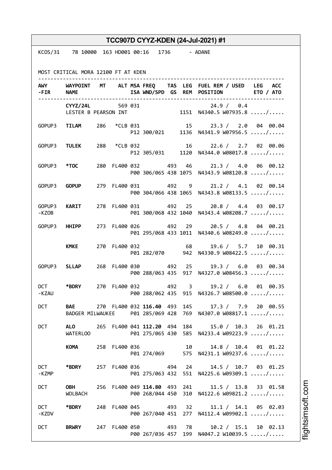|                     |                                               |  |                      |  | TCC907D CYYZ-KDEN (24-Jul-2021) #1                                                                              |  |
|---------------------|-----------------------------------------------|--|----------------------|--|-----------------------------------------------------------------------------------------------------------------|--|
|                     | KCOS/31 78 10000 163 HD001 00:16 1736 - ADANE |  |                      |  |                                                                                                                 |  |
|                     | MOST CRITICAL MORA 12100 FT AT KDEN           |  |                      |  |                                                                                                                 |  |
|                     | - FIR NAME                                    |  |                      |  | AWY WAYPOINT MT ALT MSAFREQ TAS LEG FUEL REM / USED LEG ACC<br>ISA WND/SPD GS REM POSITION ETO / ATO            |  |
|                     | CYYZ/24L 569 031                              |  |                      |  | CYYZ/24L 569 031 24.9 / 0.4<br>LESTER B PEARSON INT 1151 N4340.5 W07935.8 /                                     |  |
|                     | GOPUP3 TILAM 286 *CLB 031                     |  |                      |  | 15 23.3 / 2.0 04 00.04<br>P12 300/021 1136 N4341.9 W07956.5 /                                                   |  |
|                     |                                               |  |                      |  | GOPUP3 TULEK 288 *CLB 032 16 22.6 / 2.7 02 00.06<br>P12 305/031 1120 N4344.0 W08017.8 /                         |  |
|                     | GOPUP3 *TOC                                   |  |                      |  | 280 FL400 032 493 46 21.3 / 4.0 06 00.12<br>P00 306/065 438 1075 N4343.9 W08120.8 /                             |  |
|                     | GOPUP3 <b>GOPUP</b>                           |  |                      |  | 279 FL400 031 492 9 21.2 / 4.1 02 00.14<br>P00 304/066 438 1065 N4343.8 W08133.5 /                              |  |
| -KZOB               | GOPUP3 KARIT                                  |  |                      |  | 278 FL400 031 492 25 20.8 / 4.4 03 00.17<br>P01 300/068 432 1040 N4343.4 W08208.7 /                             |  |
|                     | GOPUP3 HHIPP                                  |  | 273 FL400 026 492 29 |  | 20.5 / 4.8 04 00.21<br>P01 295/068 433 1011 N4340.6 W08249.0 /                                                  |  |
|                     | <b>KMKE</b>                                   |  | 270 FL400 032 68     |  | 19.6 / 5.7 10 00.31<br>P01 282/070 942 N4330.9 W08422.5 /                                                       |  |
|                     | GOPUP3 SLLAP                                  |  | 268 FL400 030 492 25 |  | 19.3 / 6.0 03 00.34<br>P00 288/063 435 917 N4327.0 W08456.3 /                                                   |  |
| -KZAU               |                                               |  |                      |  | DCT *BDRY 270 FL400 032 492 3 19.2 / 6.0 01 00.35<br>P00 288/062 435 915 N4326.7 W08500.0 /                     |  |
| <b>DCT</b>          |                                               |  |                      |  | BAE 270 FL400 032 116.40 493 145 17.3 / 7.9 20 00.55<br>BADGER MILWAUKEE P01 285/069 428 769 N4307.0 W08817.1 / |  |
| <b>DCT</b>          | <b>WATERLOO</b>                               |  |                      |  | ALO 265 FL400 041 112.20 494 184 15.0 / 10.3 26 01.21<br>P01 275/065 430 585 N4233.4 W09223.9 /                 |  |
|                     | KOMA 258 FL400 036                            |  |                      |  | 10 14.8 / 10.4 01 01.22<br>P01 274/069 575 N4231.1 W09237.6 /                                                   |  |
| <b>DCT</b><br>-KZMP | *BDRY                                         |  |                      |  | 257 FL400 036 494 24 14.5 / 10.7 03 01.25<br>P01 275/063 432 551 N4225.6 W09309.1 /                             |  |
| DCT                 | WOLBACH                                       |  |                      |  | <b>OBH</b> 256 FL400 049 114.80 493 241 11.5 / 13.8 33 01.58<br>P00 268/044 450 310 N4122.6 W09821.2 /          |  |
| <b>DCT</b><br>-KZDV | *BDRY                                         |  |                      |  | 248 FL400 045 493 32 11.1 / 14.1 05 02.03<br>P00 267/040 451 277 N4112.4 W09902.1 /                             |  |
|                     | DCT BRWRY                                     |  |                      |  | 247 FL400 050 493 78 10.2 / 15.1 10 02.13<br>P00 267/036 457 199 N4047.2 W10039.5 /                             |  |

i⊒<br>⊫ htsim s oft.c o

m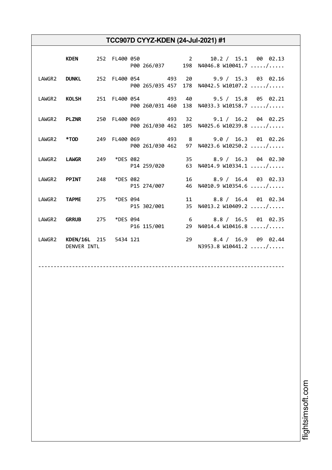| <b>KDEN</b>                                     |  |             |  | 252 FL400 050 2 2 10.2 / 15.1 00 02.13<br>P00 266/037 198 N4046.8 W10041.7 /                    |
|-------------------------------------------------|--|-------------|--|-------------------------------------------------------------------------------------------------|
|                                                 |  |             |  | LAWGR2 DUNKL 252 FL400 054 493 20 9.9 / 15.3 03 02.16<br>P00 265/035 457 178 N4042.5 W10107.2 / |
|                                                 |  |             |  | LAWGR2 KOLSH 251 FL400 054 493 40 9.5 / 15.8 05 02.21<br>P00 260/031 460 138 N4033.3 W10158.7 / |
|                                                 |  |             |  | LAWGR2 PLZNR 250 FL400 069 493 32 9.1 / 16.2 04 02.25<br>P00 261/030 462 105 N4025.6 W10239.8 / |
|                                                 |  |             |  | LAWGR2 *TOD 249 FL400 069 493 8 9.0 / 16.3 01 02.26<br>P00 261/030 462 97 N4023.6 W10250.2 /    |
|                                                 |  |             |  | LAWGR2 LAWGR 249 *DES 082 35 8.9 / 16.3 04 02.30<br>P14 259/020 63 N4014.9 W10334.1 /           |
| LAWGR2 PPINT 248 *DES 082                       |  | P15 274/007 |  | 16 8.9 / 16.4 03 02.33<br>46 N4010.9 W10354.6 /                                                 |
| LAWGR2 TAPME 275 *DES 094                       |  | P15 302/001 |  | 11 8.8 / 16.4 01 02.34<br>35 N4013.2 W10409.2 /                                                 |
| LAWGR2 <b>GRRUB</b> 275 *DES 094<br>P16 115/001 |  |             |  | 6 8.8 / 16.5 01 02.35<br>29 N4014.4 W10416.8 /                                                  |
| LAWGR2 KDEN/16L 215 5434 121<br>DENVER INTL     |  |             |  | 29 8.4 / 16.9 09 02.44<br>N3953.8 W10441.2 /                                                    |

--------------------------------------------------------------------------------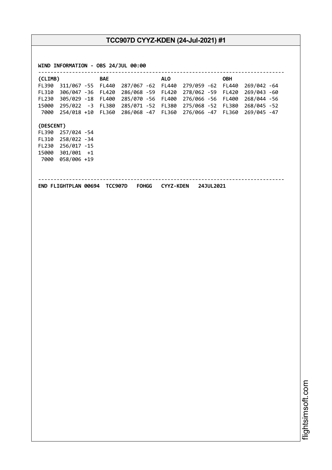| FL390 311/067 -55 FL440 287/067 -62 FL440 279/059 -62 FL440 269/042 -64                                                                                                                                                                              | (CLIMB) |  | <b>BAE</b> | <b>ALO</b> |  | OBH |  |
|------------------------------------------------------------------------------------------------------------------------------------------------------------------------------------------------------------------------------------------------------|---------|--|------------|------------|--|-----|--|
| FL310 306/047 -36 FL420 286/068 -59 FL420 278/062 -59 FL420 269/043 -60                                                                                                                                                                              |         |  |            |            |  |     |  |
| FL230 305/029 -18 FL400 285/070 -56 FL400 276/066 -56 FL400 268/044 -56<br>15000 295/022 -3 FL380 285/071 -52 FL380 275/068 -52 FL380 268/045 -52                                                                                                    |         |  |            |            |  |     |  |
|                                                                                                                                                                                                                                                      |         |  |            |            |  |     |  |
| 7000 254/018 +10 FL360 286/068 -47 FL360 276/066 -47 FL360 269/045 -47<br>(DESCENT)<br>FL390 257/024 -54<br>FL310 258/022 -34<br>FL230 256/017 -15<br>15000 301/001 +1<br>7000 058/006 +19<br>END FLIGHTPLAN 00694 TCC907D FOHGG CYYZ-KDEN 24JUL2021 |         |  |            |            |  |     |  |
|                                                                                                                                                                                                                                                      |         |  |            |            |  |     |  |
|                                                                                                                                                                                                                                                      |         |  |            |            |  |     |  |
|                                                                                                                                                                                                                                                      |         |  |            |            |  |     |  |
|                                                                                                                                                                                                                                                      |         |  |            |            |  |     |  |
|                                                                                                                                                                                                                                                      |         |  |            |            |  |     |  |
|                                                                                                                                                                                                                                                      |         |  |            |            |  |     |  |
|                                                                                                                                                                                                                                                      |         |  |            |            |  |     |  |
|                                                                                                                                                                                                                                                      |         |  |            |            |  |     |  |
|                                                                                                                                                                                                                                                      |         |  |            |            |  |     |  |
|                                                                                                                                                                                                                                                      |         |  |            |            |  |     |  |
|                                                                                                                                                                                                                                                      |         |  |            |            |  |     |  |
|                                                                                                                                                                                                                                                      |         |  |            |            |  |     |  |
|                                                                                                                                                                                                                                                      |         |  |            |            |  |     |  |
|                                                                                                                                                                                                                                                      |         |  |            |            |  |     |  |
|                                                                                                                                                                                                                                                      |         |  |            |            |  |     |  |
|                                                                                                                                                                                                                                                      |         |  |            |            |  |     |  |
|                                                                                                                                                                                                                                                      |         |  |            |            |  |     |  |
|                                                                                                                                                                                                                                                      |         |  |            |            |  |     |  |
|                                                                                                                                                                                                                                                      |         |  |            |            |  |     |  |
|                                                                                                                                                                                                                                                      |         |  |            |            |  |     |  |
|                                                                                                                                                                                                                                                      |         |  |            |            |  |     |  |
|                                                                                                                                                                                                                                                      |         |  |            |            |  |     |  |

m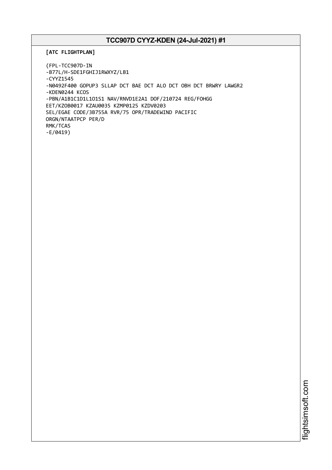```
[ATC FLIGHTPLAN]
```

```
(FPL-TCC907D-IN
-B77L/H-SDE1FGHIJ1RWXYZ/LB1
-CYYZ1545
-N0492F400 GOPUP3 SLLAP DCT BAE DCT ALO DCT OBH DCT BRWRY LAWGR2
-KDEN0244 KCOS
-PBN/A1B1C1D1L1O1S1 NAV/RNVD1E2A1 DOF/210724 REG/FOHGG
EET/KZOB0017 KZAU0035 KZMP0125 KZDV0203
SEL/EGAE CODE/3B755A RVR/75 OPR/TRADEWIND PACIFIC
ORGN/NTAATPCP PER/D
RMK/TCAS
-E/0419)
```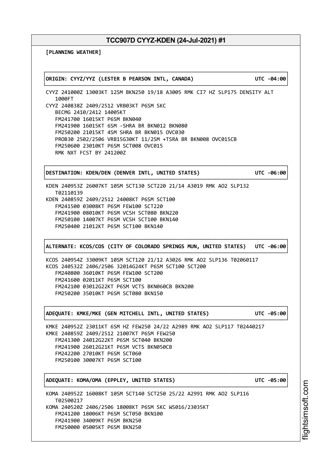┌──────────────────────────────────────────────────────────────────────────────┐

└──────────────────────────────────────────────────────────────────────────────┘

**[PLANNING WEATHER]**

│**ORIGIN: CYYZ/YYZ (LESTER B PEARSON INTL, CANADA) UTC -04:00**│

CYYZ 241000Z 13003KT 12SM BKN250 19/18 A3005 RMK CI7 HZ SLP175 DENSITY ALT 1000FT CYYZ 240838Z 2409/2512 VRB03KT P6SM SKC BECMG 2410/2412 14005KT FM241700 16015KT P6SM BKN040 FM241900 16015KT 6SM -SHRA BR BKN012 BKN080 FM250200 21015KT 4SM SHRA BR BKN015 OVC030 PROB30 2502/2506 VRB15G30KT 11/2SM +TSRA BR BKN008 OVC015CB FM250600 23010KT P6SM SCT008 OVC015 RMK NXT FCST BY 241200Z

│**DESTINATION: KDEN/DEN (DENVER INTL, UNITED STATES) UTC -06:00**│

┌──────────────────────────────────────────────────────────────────────────────┐

KDEN 240953Z 26007KT 10SM SCT130 SCT220 21/14 A3019 RMK AO2 SLP132 T02110139 KDEN 240859Z 2409/2512 24008KT P6SM SCT100 FM241500 03008KT P6SM FEW100 SCT220 FM241900 08010KT P6SM VCSH SCT080 BKN220 FM250100 14007KT P6SM VCSH SCT100 BKN140 FM250400 21012KT P6SM SCT100 BKN140

┌──────────────────────────────────────────────────────────────────────────────┐ │**ALTERNATE: KCOS/COS (CITY OF COLORADO SPRINGS MUN, UNITED STATES) UTC -06:00**│ └──────────────────────────────────────────────────────────────────────────────┘

┌──────────────────────────────────────────────────────────────────────────────┐

└──────────────────────────────────────────────────────────────────────────────┘

┌──────────────────────────────────────────────────────────────────────────────┐

└──────────────────────────────────────────────────────────────────────────────┘

└──────────────────────────────────────────────────────────────────────────────┘

KCOS 240954Z 33009KT 10SM SCT120 21/12 A3026 RMK AO2 SLP136 T02060117 KCOS 240532Z 2406/2506 32014G24KT P6SM SCT100 SCT200 FM240800 36010KT P6SM FEW100 SCT200 FM241600 02011KT P6SM SCT100 FM242100 03012G22KT P6SM VCTS BKN060CB BKN200 FM250200 35010KT P6SM SCT080 BKN150

│**ADEQUATE: KMKE/MKE (GEN MITCHELL INTL, UNITED STATES) UTC -05:00**│

KMKE 240952Z 23011KT 6SM HZ FEW250 24/22 A2989 RMK AO2 SLP117 T02440217 KMKE 240859Z 2409/2512 21007KT P6SM FEW250 FM241300 24012G22KT P6SM SCT040 BKN200 FM241900 26012G21KT P6SM VCTS BKN050CB FM242200 27010KT P6SM SCT060 FM250100 30007KT P6SM SCT100

│**ADEQUATE: KOMA/OMA (EPPLEY, UNITED STATES) UTC -05:00**│

KOMA 240952Z 16008KT 10SM SCT140 SCT250 25/22 A2991 RMK AO2 SLP116 T02500217 KOMA 240520Z 2406/2506 18008KT P6SM SKC WS016/23035KT FM241200 18006KT P6SM SCT050 BKN100 FM241900 34009KT P6SM BKN250 FM250000 05005KT P6SM BKN250

i⊒<br>⊫ htsim soft.c om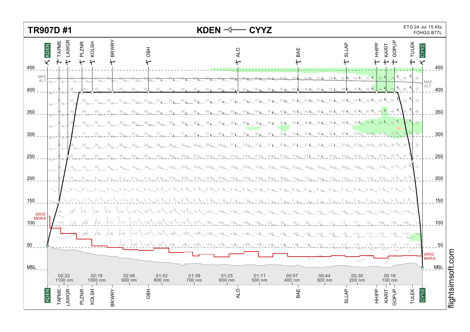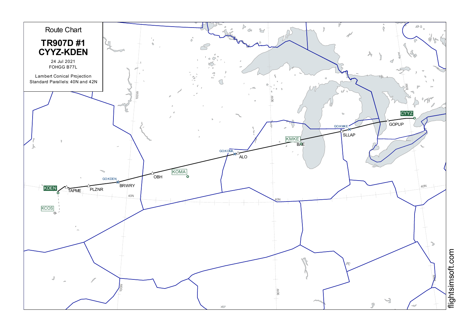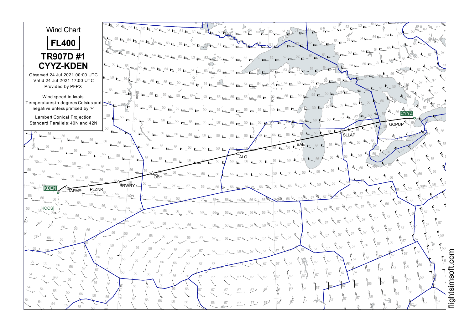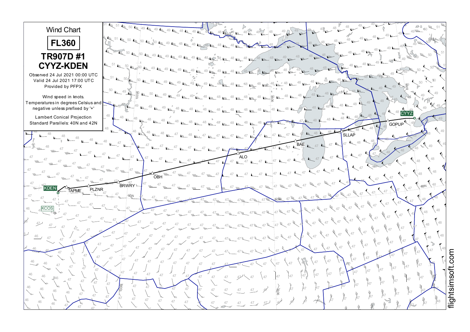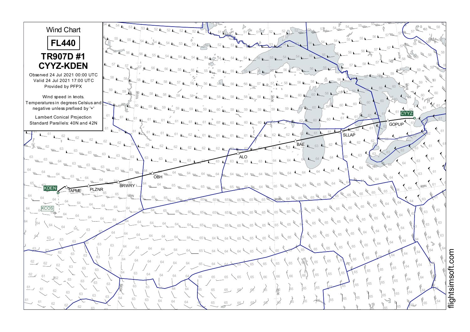